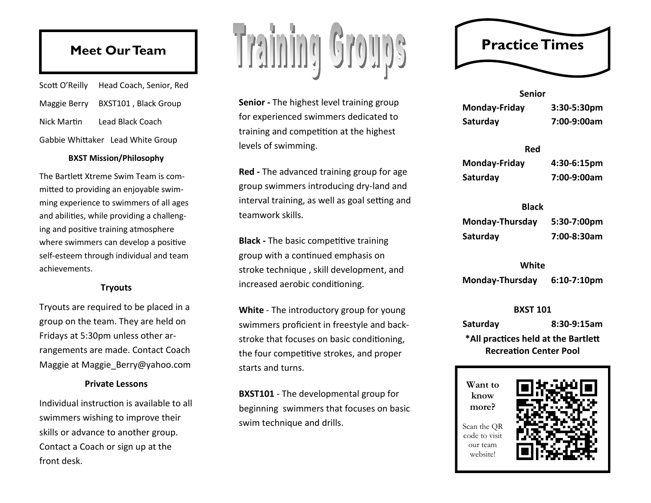## **Meet Our Team**

|                                   | Scott O'Reilly Head Coach, Senior, Red |  |  |
|-----------------------------------|----------------------------------------|--|--|
|                                   | Maggie Berry BXST101, Black Group      |  |  |
| Nick Martin                       | Lead Black Coach                       |  |  |
| Gabbie Whittaker Lead White Group |                                        |  |  |

## **BXST Mission/Philosophy**

The Bartlett Xtreme Swim Team is committed to providing an enjoyable swimming experience to swimmers of all ages and abilities, while providing a challenging and positive training atmosphere where swimmers can develop a positive self-esteem through individual and team achievements.

## **Tryouts**

Tryouts are required to be placed in a group on the team. They are held on Fridays at 5:30pm unless other arrangements are made. Contact Coach Maggie at Maggie\_Berry@yahoo.com

## **Private Lessons**

Individual instruction is available to all swimmers wishing to improve their skills or advance to another group. Contact a Coach or sign up at the front desk.

# Training Groups

**Senior -** The highest level training group for experienced swimmers dedicated to training and competition at the highest levels of swimming.

**Red -** The advanced training group for age group swimmers introducing dry-land and interval training, as well as goal setting and teamwork skills.

**Black -** The basic competitive training group with a continued emphasis on stroke technique , skill development, and increased aerobic conditioning.

**White** - The introductory group for young swimmers proficient in freestyle and backstroke that focuses on basic conditioning, the four competitive strokes, and proper starts and turns.

**BXST101** - The developmental group for beginning swimmers that focuses on basic swim technique and drills.

## **Practice Times**

| <b>Senior</b> |             |  |  |  |
|---------------|-------------|--|--|--|
| Monday-Friday | 3:30-5:30pm |  |  |  |
| Saturday      | 7:00-9:00am |  |  |  |

| <b>Red</b>    |             |
|---------------|-------------|
| Monday-Friday | 4:30-6:15pm |
| Saturday      | 7:00-9:00am |

## **Black**

| Monday-Thursday | 5:30-7:00pm |
|-----------------|-------------|
| Saturday        | 7:00-8:30am |

## **White**

**Monday-Thursday 6:10-7:10pm**

## **BXST 101**

**Saturday 8:30-9:15am \*All practices held at the Bartlett Recreation Center Pool**

**Want to know more?**

Scan the QR code to visit our team website!